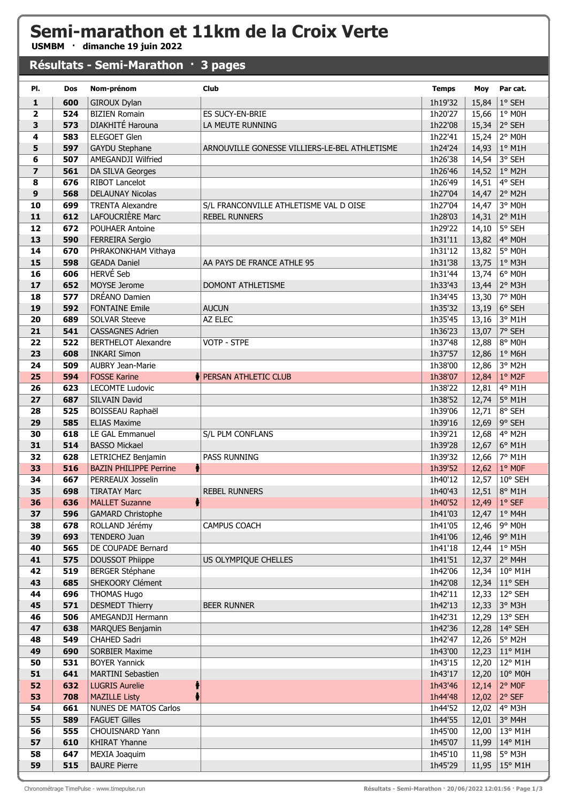## **Semi-marathon et 11km de la Croix Verte**

**USMBM · dimanche 19 juin 2022**

## **Résultats - Semi-Marathon · 3 pages**

| PI.                     | <b>Dos</b> | Nom-prénom                                     | <b>Club</b>                                   | <b>Temps</b>       | Moy            | Par cat.          |
|-------------------------|------------|------------------------------------------------|-----------------------------------------------|--------------------|----------------|-------------------|
| $\mathbf{1}$            | 600        | GIROUX Dylan                                   |                                               | 1h19'32            | 15,84          | 1° SEH            |
| $\mathbf{2}$            | 524        | <b>BIZIEN Romain</b>                           | <b>ES SUCY-EN-BRIE</b>                        | 1h20'27            | 15,66          | 1° MOH            |
| 3                       | 573        | DIAKHITÉ Harouna                               | LA MEUTE RUNNING                              | 1h22'08            | 15,34          | 2° SEH            |
| 4                       | 583        | <b>ELEGOET Glen</b>                            |                                               | 1h22'41            | 15,24          | 2° MOH            |
| 5                       | 597        | <b>GAYDU Stephane</b>                          | ARNOUVILLE GONESSE VILLIERS-LE-BEL ATHLETISME | 1h24'24            | 14,93          | $1°$ M1H          |
| 6                       | 507        | AMEGANDJI Wilfried                             |                                               | 1h26'38            | 14,54          | 3° SEH            |
| $\overline{\mathbf{z}}$ | 561        | DA SILVA Georges                               |                                               | 1h26'46            | 14,52          | 1° M2H            |
| 8                       | 676        | <b>RIBOT Lancelot</b>                          |                                               | 1h26'49            | 14,51          | 4° SEH            |
| 9                       | 568        | <b>DELAUNAY Nicolas</b>                        |                                               | 1h27'04            | 14,47          | 2° M2H            |
| 10                      | 699        | <b>TRENTA Alexandre</b>                        | S/L FRANCONVILLE ATHLETISME VAL D OISE        | 1h27'04            | 14,47          | 3° MOH            |
| 11                      | 612        | LAFOUCRIÈRE Marc                               | <b>REBEL RUNNERS</b>                          | 1h28'03            | 14,31          | 2° M1H            |
| 12                      | 672        | <b>POUHAER Antoine</b>                         |                                               | 1h29'22            | 14,10          | 5° SEH            |
| 13                      | 590        | FERREIRA Sergio                                |                                               | 1h31'11            | 13,82          | 4° MOH            |
| 14                      | 670        | PHRAKONKHAM Vithaya                            |                                               | 1h31'12            | 13,82          | 5° MOH            |
| 15                      | 598        | <b>GEADA Daniel</b>                            | AA PAYS DE FRANCE ATHLE 95                    | 1h31'38            | 13,75          | 1° M3H            |
| 16                      | 606        | <b>HERVÉ Seb</b>                               |                                               | 1h31'44            | 13,74          | 6° MOH            |
| 17                      | 652        | MOYSE Jerome                                   | DOMONT ATHLETISME                             | 1h33'43            | 13,44          | 2° M3H            |
| 18                      | 577        | DRÉANO Damien                                  |                                               | 1h34'45            | 13,30          | 7° M0H            |
| 19                      | 592        | <b>FONTAINE Emile</b>                          | <b>AUCUN</b>                                  | 1h35'32            | 13,19          | 6° SEH            |
| 20                      | 689        | <b>SOLVAR Steeve</b>                           | AZ ELEC                                       | 1h35'45            | 13,16          | 3° M1H            |
| 21                      | 541        | <b>CASSAGNES Adrien</b>                        |                                               | 1h36'23            | 13,07          | 7° SEH            |
| 22                      | 522        | <b>BERTHELOT Alexandre</b>                     | <b>VOTP - STPE</b>                            | 1h37'48            | 12,88          | 8° MOH            |
| 23                      | 608        | <b>INKARI Simon</b>                            |                                               | 1h37'57<br>1h38'00 | 12,86          | 1° M6H<br>3° M2H  |
| 24<br>25                | 509<br>594 | <b>AUBRY Jean-Marie</b><br><b>FOSSE Karine</b> | PERSAN ATHLETIC CLUB                          | 1h38'07            | 12,86<br>12,84 | $1°$ M2F          |
| 26                      | 623        | <b>LECOMTE Ludovic</b>                         |                                               | 1h38'22            | 12,81          | 4° M1H            |
| 27                      | 687        | SILVAIN David                                  |                                               | 1h38'52            | 12,74          | 5° M1H            |
| 28                      | 525        | BOISSEAU Raphaël                               |                                               | 1h39'06            | 12,71          | 8° SEH            |
| 29                      | 585        | <b>ELIAS Maxime</b>                            |                                               | 1h39'16            | 12,69          | 9° SEH            |
| 30                      | 618        | LE GAL Emmanuel                                | S/L PLM CONFLANS                              | 1h39'21            | 12,68          | 4° M2H            |
| 31                      | 514        | <b>BASSO Mickael</b>                           |                                               | 1h39'28            | 12,67          | 6° M1H            |
| 32                      | 628        | LETRICHEZ Benjamin                             | <b>PASS RUNNING</b>                           | 1h39'32            | 12,66          | 7° M1H            |
| 33                      | 516        | <b>BAZIN PHILIPPE Perrine</b><br>ł             |                                               | 1h39'52            | 12,62          | $1°$ MOF          |
| 34                      | 667        | PERREAUX Josselin                              |                                               | 1h40'12            | 12,57          | 10° SEH           |
| 35                      | 698        | <b>TIRATAY Marc</b>                            | <b>REBEL RUNNERS</b>                          | 1h40'43            | 12,51          | 8° M1H            |
| 36                      | 636        | $\ddot{\bullet}$<br><b>MALLET Suzanne</b>      |                                               | 1h40'52            | 12,49          | 1° SEF            |
| 37                      | 596        | <b>GAMARD Christophe</b>                       |                                               | 1h41'03            | 12,47          | 1° M4H            |
| 38                      | 678        | ROLLAND Jérémy                                 | CAMPUS COACH                                  | 1h41'05            | 12,46          | 9° M0H            |
| 39                      | 693        | TENDERO Juan                                   |                                               | 1h41'06            | 12,46          | 9° M1H            |
| 40                      | 565        | DE COUPADE Bernard                             |                                               | 1h41'18            | 12,44          | $1^\circ$ M5H     |
| 41                      | 575        | <b>DOUSSOT Phiippe</b>                         | US OLYMPIQUE CHELLES                          | 1h41'51            | 12,37          | 2° M4H            |
| 42                      | 519        | <b>BERGER Stéphane</b>                         |                                               | 1h42'06            | 12,34          | 10° M1H           |
| 43                      | 685        | SHEKOORY Clément                               |                                               | 1h42'08<br>1h42'11 | 12,34          | 11° SEH           |
| 44<br>45                | 696<br>571 | <b>THOMAS Hugo</b><br><b>DESMEDT Thierry</b>   | <b>BEER RUNNER</b>                            | 1h42'13            | 12,33<br>12,33 | 12° SEH<br>3° M3H |
| 46                      | 506        | AMEGANDJI Hermann                              |                                               | 1h42'31            | 12,29          | 13° SEH           |
| 47                      | 638        | MARQUES Benjamin                               |                                               | 1h42'36            | 12,28          | 14° SEH           |
| 48                      | 549        | CHAHED Sadri                                   |                                               | 1h42'47            | 12,26          | 5° M2H            |
| 49                      | 690        | <b>SORBIER Maxime</b>                          |                                               | 1h43'00            | 12,23          | $11^{\circ}$ M1H  |
| 50                      | 531        | <b>BOYER Yannick</b>                           |                                               | 1h43'15            | 12,20          | 12° M1H           |
| 51                      | 641        | <b>MARTINI Sebastien</b>                       |                                               | 1h43'17            | 12,20          | 10° M0H           |
| 52                      | 632        | <b>LUGRIS Aurelie</b>                          |                                               | 1h43'46            | 12,14          | 2° MOF            |
| 53                      | 708        | <b>MAZILLE Listy</b>                           |                                               | 1h44'48            | 12,02          | $2°$ SEF          |
| 54                      | 661        | NUNES DE MATOS Carlos                          |                                               | 1h44'52            | 12,02          | 4° M3H            |
| 55                      | 589        | <b>FAGUET Gilles</b>                           |                                               | 1h44'55            | 12,01          | 3° M4H            |
| 56                      | 555        | CHOUISNARD Yann                                |                                               | 1h45'00            | 12,00          | 13° M1H           |
| 57                      | 610        | <b>KHIRAT Yhanne</b>                           |                                               | 1h45'07            | 11,99          | 14° M1H           |
| 58                      | 647        | MEXIA Joaquim                                  |                                               | 1h45'10            | 11,98          | 5° M3H            |
| 59                      | 515        | <b>BAURE Pierre</b>                            |                                               | 1h45'29            | 11,95          | 15° M1H           |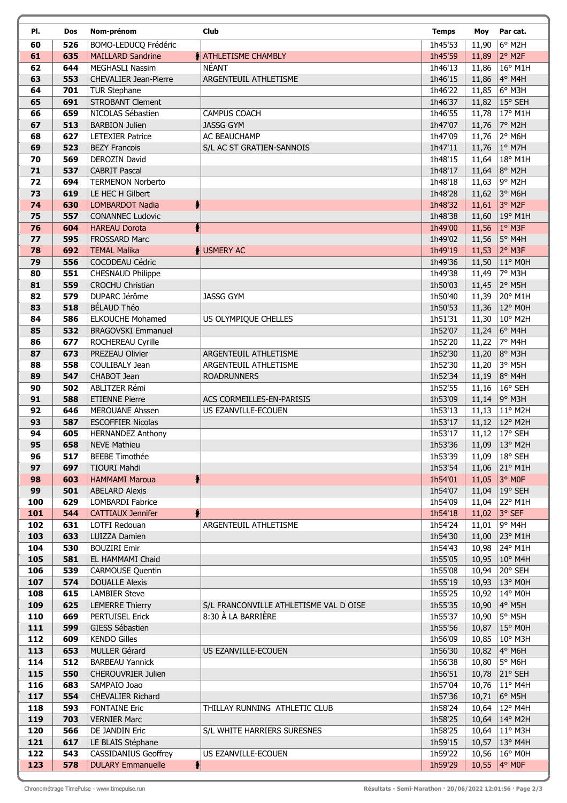| PI.        | Dos        | Nom-prénom                                         | Club                                             | <b>Temps</b>       | Moy            | Par cat.                            |
|------------|------------|----------------------------------------------------|--------------------------------------------------|--------------------|----------------|-------------------------------------|
| 60         | 526        | BOMO-LEDUCQ Frédéric                               |                                                  | 1h45'53            | 11,90          | $6°$ M <sub>2</sub> H               |
| 61         | 635        | <b>MAILLARD Sandrine</b>                           | <b>A ATHLETISME CHAMBLY</b>                      | 1h45'59            | 11,89          | $2°$ M <sub>2</sub> F               |
| 62         | 644        | MEGHASLI Nassim                                    | <b>NÉANT</b>                                     | 1h46'13            | 11,86          | 16° M1H                             |
| 63         | 553        | <b>CHEVALIER Jean-Pierre</b>                       | ARGENTEUIL ATHLETISME                            | 1h46'15            | 11,86          | 4° M4H                              |
| 64         | 701        | <b>TUR Stephane</b>                                |                                                  | 1h46'22            | 11,85          | 6° M3H                              |
| 65         | 691        | <b>STROBANT Clement</b>                            |                                                  | 1h46'37            |                | 11,82   15° SEH                     |
| 66         | 659        | NICOLAS Sébastien                                  | <b>CAMPUS COACH</b>                              | 1h46'55            | 11,78          | 17° M1H                             |
| 67         | 513        | <b>BARBION Julien</b>                              | <b>JASSG GYM</b>                                 | 1h47'07            | 11,76          | 7° M2H                              |
| 68         | 627        | <b>LETEXIER Patrice</b>                            | AC BEAUCHAMP                                     | 1h47'09            | 11,76          | 2° M6H                              |
| 69         | 523        | <b>BEZY Francois</b>                               | S/L AC ST GRATIEN-SANNOIS                        | 1h47'11            | 11,76          | $ 1^{\circ}$ M7H                    |
| 70         | 569        | DEROZIN David                                      |                                                  | 1h48'15            | 11,64          | 18° M1H                             |
| 71<br>72   | 537<br>694 | <b>CABRIT Pascal</b>                               |                                                  | 1h48'17<br>1h48'18 | 11,64          | 8° M2H<br>9° M2H                    |
| 73         | 619        | <b>TERMENON Norberto</b><br>LE HEC H Gilbert       |                                                  | 1h48'28            | 11,63<br>11,62 | 3° M6H                              |
| 74         | 630        | ł<br><b>LOMBARDOT Nadia</b>                        |                                                  | 1h48'32            | 11,61          | 3° M2F                              |
| 75         | 557        | <b>CONANNEC Ludovic</b>                            |                                                  | 1h48'38            | 11,60          | 19° M1H                             |
| 76         | 604        | <b>HAREAU Dorota</b>                               |                                                  | 1h49'00            | 11,56          | $1°$ M3F                            |
| 77         | 595        | FROSSARD Marc                                      |                                                  | 1h49'02            | 11,56          | 5° M4H                              |
| 78         | 692        | <b>TEMAL Malika</b>                                | USMERY AC                                        | 1h49'19            | 11,53          | 2° M3F                              |
| 79         | 556        | COCODEAU Cédric                                    |                                                  | 1h49'36            | 11,50          | 11° M0H                             |
| 80         | 551        | CHESNAUD Philippe                                  |                                                  | 1h49'38            | 11,49          | 7° M3H                              |
| 81         | 559        | <b>CROCHU Christian</b>                            |                                                  | 1h50'03            | 11,45          | 2° M5H                              |
| 82         | 579        | DUPARC Jérôme                                      | <b>JASSG GYM</b>                                 | 1h50'40            | 11,39          | 20° M1H                             |
| 83         | 518        | BÉLAUD Théo                                        |                                                  | 1h50'53            | 11,36          | 12° M0H                             |
| 84         | 586        | <b>ELKOUCHE Mohamed</b>                            | US OLYMPIQUE CHELLES                             | 1h51'31            | 11,30          | 10° M2H                             |
| 85         | 532        | <b>BRAGOVSKI Emmanuel</b>                          |                                                  | 1h52'07            | 11,24          | 6° M4H                              |
| 86         | 677        | ROCHEREAU Cyrille                                  |                                                  | 1h52'20            | 11,22          | 7° M4H                              |
| 87         | 673        | PREZEAU Olivier                                    | ARGENTEUIL ATHLETISME                            | 1h52'30            | 11,20          | 8° M3H                              |
| 88         | 558        | COULIBALY Jean                                     | ARGENTEUIL ATHLETISME                            | 1h52'30            | 11,20          | 3° M5H                              |
| 89         | 547        | CHABOT Jean                                        | <b>ROADRUNNERS</b>                               | 1h52'34            | 11,19          | 8° M4H                              |
| 90         | 502        | ABLITZER Rémi                                      |                                                  | 1h52'55            | 11,16          | 16° SEH                             |
| 91<br>92   | 588<br>646 | <b>ETIENNE Pierre</b>                              | ACS CORMEILLES-EN-PARISIS<br>US EZANVILLE-ECOUEN | 1h53'09<br>1h53'13 |                | 11,14   9 $^{\circ}$ M3H<br>11° M2H |
| 93         | 587        | <b>MEROUANE Ahssen</b><br><b>ESCOFFIER Nicolas</b> |                                                  | 1h53'17            | 11,13          | 11,12   12° M2H                     |
| 94         | 605        | <b>HERNANDEZ Anthony</b>                           |                                                  | 1h53'17            |                | 11,12 $ 17°$ SEH                    |
| 95         | 658        | <b>NEVE Mathieu</b>                                |                                                  | 1h53'36            |                | 11,09 13° M2H                       |
| 96         | 517        | <b>BEEBE Timothée</b>                              |                                                  | 1h53'39            |                | 11,09   18° SEH                     |
| 97         | 697        | <b>TIOURI Mahdi</b>                                |                                                  | 1h53'54            | 11,06          | 21° M1H                             |
| 98         | 603        | <b>HAMMAMI Maroua</b>                              |                                                  | 1h54'01            | 11,05          | 3° MOF                              |
| 99         | 501        | <b>ABELARD Alexis</b>                              |                                                  | 1h54'07            | 11,04          | 19° SEH                             |
| 100        | 629        | LOMBARDI Fabrice                                   |                                                  | 1h54'09            | 11,04          | 22° M1H                             |
| 101        | 544        | <b>CATTIAUX Jennifer</b>                           |                                                  | 1h54'18            |                | 11,02 3° SEF                        |
| 102        | 631        | LOTFI Redouan                                      | ARGENTEUIL ATHLETISME                            | 1h54'24            | 11,01          | 9° M4H                              |
| 103        | 633        | LUIZZA Damien                                      |                                                  | 1h54'30            | 11,00          | 23° M1H                             |
| 104        | 530        | <b>BOUZIRI Emir</b>                                |                                                  | 1h54'43            | 10,98          | 24° M1H                             |
| 105        | 581        | EL HAMMAMI Chaid                                   |                                                  | 1h55'05            | 10,95          | 10° M4H                             |
| 106        | 539        | <b>CARMOUSE Quentin</b>                            |                                                  | 1h55'08            | 10,94          | 20° SEH                             |
| 107        | 574        | <b>DOUALLE Alexis</b>                              |                                                  | 1h55'19            | 10,93          | 13° M0H                             |
| 108<br>109 | 615        | <b>LAMBIER Steve</b>                               | S/L FRANCONVILLE ATHLETISME VAL D OISE           | 1h55'25<br>1h55'35 | 10,92          | 14° M0H<br>4° M5H                   |
| 110        | 625<br>669 | <b>LEMERRE Thierry</b><br><b>PERTUISEL Erick</b>   | 8:30 À LA BARRIÈRE                               | 1h55'37            | 10,90<br>10,90 | 5° M5H                              |
| 111        | 599        | GIESS Sébastien                                    |                                                  | 1h55'56            | 10,87          | 15° M0H                             |
| 112        | 609        | <b>KENDO Gilles</b>                                |                                                  | 1h56'09            | 10,85          | 10° M3H                             |
| 113        | 653        | <b>MULLER Gérard</b>                               | US EZANVILLE-ECOUEN                              | 1h56'30            | 10,82          | 4° M6H                              |
| 114        | 512        | <b>BARBEAU Yannick</b>                             |                                                  | 1h56'38            | 10,80          | 5° M6H                              |
| 115        | 550        | CHEROUVRIER Julien                                 |                                                  | 1h56'51            | 10,78          | 21° SEH                             |
| 116        | 683        | SAMPAIO Joao                                       |                                                  | 1h57'04            | 10,76          | 11° M4H                             |
| 117        | 554        | CHEVALIER Richard                                  |                                                  | 1h57'36            | 10,71          | $6°$ M5H                            |
| 118        | 593        | <b>FONTAINE Eric</b>                               | THILLAY RUNNING ATHLETIC CLUB                    | 1h58'24            | 10,64          | 12° M4H                             |
| 119        | 703        | <b>VERNIER Marc</b>                                |                                                  | 1h58'25            | 10,64          | 14° M2H                             |
| 120        | 566        | DE JANDIN Eric                                     | S/L WHITE HARRIERS SURESNES                      | 1h58'25            | 10,64          | 11° M3H                             |
| 121        | 617        | LE BLAIS Stéphane                                  |                                                  | 1h59'15            | 10,57          | 13° M4H                             |
| 122        | 543        | <b>CASSIDANIUS Geoffrey</b>                        | US EZANVILLE-ECOUEN                              | 1h59'22            | 10,56          | 16° M0H                             |
| 123        | 578        | ł<br><b>DULARY Emmanuelle</b>                      |                                                  | 1h59'29            |                | 10,55 4° MOF                        |